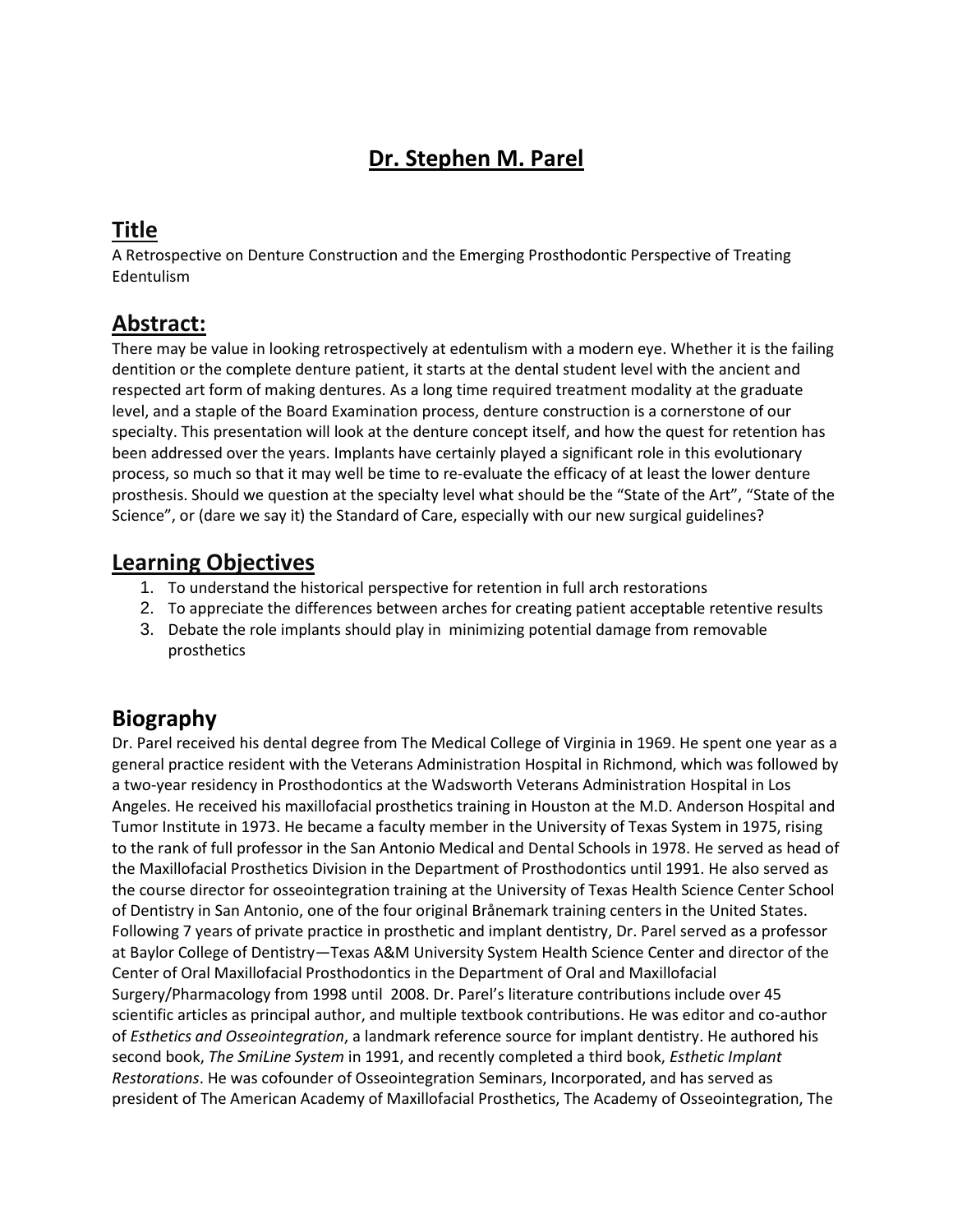# **Dr. Stephen M. Parel**

## **Title**

A Retrospective on Denture Construction and the Emerging Prosthodontic Perspective of Treating Edentulism

### **Abstract:**

There may be value in looking retrospectively at edentulism with a modern eye. Whether it is the failing dentition or the complete denture patient, it starts at the dental student level with the ancient and respected art form of making dentures. As a long time required treatment modality at the graduate level, and a staple of the Board Examination process, denture construction is a cornerstone of our specialty. This presentation will look at the denture concept itself, and how the quest for retention has been addressed over the years. Implants have certainly played a significant role in this evolutionary process, so much so that it may well be time to re-evaluate the efficacy of at least the lower denture prosthesis. Should we question at the specialty level what should be the "State of the Art", "State of the Science", or (dare we say it) the Standard of Care, especially with our new surgical guidelines?

#### **Learning Objectives**

- 1. To understand the historical perspective for retention in full arch restorations
- 2. To appreciate the differences between arches for creating patient acceptable retentive results
- 3. Debate the role implants should play in minimizing potential damage from removable prosthetics

#### **Biography**

Dr. Parel received his dental degree from The Medical College of Virginia in 1969. He spent one year as a general practice resident with the Veterans Administration Hospital in Richmond, which was followed by a two-year residency in Prosthodontics at the Wadsworth Veterans Administration Hospital in Los Angeles. He received his maxillofacial prosthetics training in Houston at the M.D. Anderson Hospital and Tumor Institute in 1973. He became a faculty member in the University of Texas System in 1975, rising to the rank of full professor in the San Antonio Medical and Dental Schools in 1978. He served as head of the Maxillofacial Prosthetics Division in the Department of Prosthodontics until 1991. He also served as the course director for osseointegration training at the University of Texas Health Science Center School of Dentistry in San Antonio, one of the four original Brånemark training centers in the United States. Following 7 years of private practice in prosthetic and implant dentistry, Dr. Parel served as a professor at Baylor College of Dentistry—Texas A&M University System Health Science Center and director of the Center of Oral Maxillofacial Prosthodontics in the Department of Oral and Maxillofacial Surgery/Pharmacology from 1998 until 2008. Dr. Parel's literature contributions include over 45 scientific articles as principal author, and multiple textbook contributions. He was editor and co-author of *Esthetics and Osseointegration*, a landmark reference source for implant dentistry. He authored his second book, *The SmiLine System* in 1991, and recently completed a third book, *Esthetic Implant Restorations*. He was cofounder of Osseointegration Seminars, Incorporated, and has served as president of The American Academy of Maxillofacial Prosthetics, The Academy of Osseointegration, The